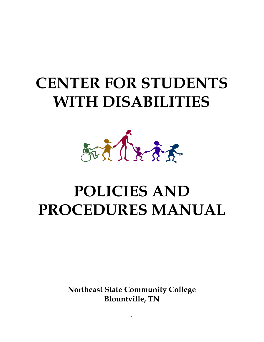# **CENTER FOR STUDENTS WITH DISABILITIES**



# **POLICIES AND PROCEDURES MANUAL**

**Northeast State Community College Blountville, TN**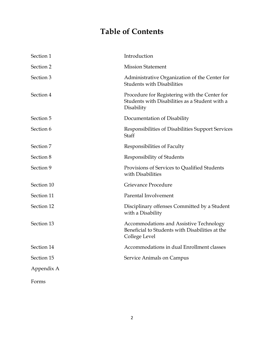## **Table of Contents**

| Section 1  | Introduction                                                                                                       |  |
|------------|--------------------------------------------------------------------------------------------------------------------|--|
| Section 2  | <b>Mission Statement</b>                                                                                           |  |
| Section 3  | Administrative Organization of the Center for<br><b>Students with Disabilities</b>                                 |  |
| Section 4  | Procedure for Registering with the Center for<br>Students with Disabilities as a Student with a<br>Disability      |  |
| Section 5  | Documentation of Disability                                                                                        |  |
| Section 6  | Responsibilities of Disabilities Support Services<br>Staff                                                         |  |
| Section 7  | Responsibilities of Faculty                                                                                        |  |
| Section 8  | Responsibility of Students                                                                                         |  |
| Section 9  | Provisions of Services to Qualified Students<br>with Disabilities                                                  |  |
| Section 10 | Grievance Procedure                                                                                                |  |
| Section 11 | Parental Involvement                                                                                               |  |
| Section 12 | Disciplinary offenses Committed by a Student<br>with a Disability                                                  |  |
| Section 13 | <b>Accommodations and Assistive Technology</b><br>Beneficial to Students with Disabilities at the<br>College Level |  |
| Section 14 | Accommodations in dual Enrollment classes                                                                          |  |
| Section 15 | Service Animals on Campus                                                                                          |  |
| Appendix A |                                                                                                                    |  |
| Forms      |                                                                                                                    |  |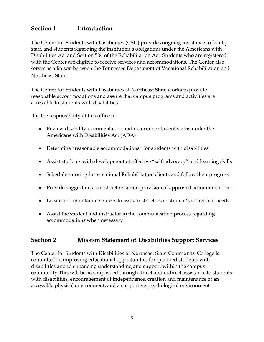## **Section 1 Introduction**

The Center for Students with Disabilities (CSD) provides ongoing assistance to faculty, staff, and students regarding the institution's obligations under the Americans with Disabilities Act and Section 504 of the Rehabilitation Act. Students who are registered with the Center are eligible to receive services and accommodations. The Center also serves as a liaison between the Tennessee Department of Vocational Rehabilitation and Northeast State.

The Center for Students with Disabilities at Northeast State works to provide reasonable accommodations and assure that campus programs and activities are accessible to students with disabilities.

It is the responsibility of this office to:

- Review disability documentation and determine student status under the Americans with Disabilities Act (ADA)
- Determine "reasonable accommodations" for students with disabilities
- Assist students with development of effective "self-advocacy" and learning skills
- Schedule tutoring for vocational Rehabilitation clients and follow their progress
- Provide suggestions to instructors about provision of approved accommodations
- Locate and maintain resources to assist instructors in student's individual needs
- Assist the student and instructor in the communication process regarding accommodations when necessary

#### **Section 2 Mission Statement of Disabilities Support Services**

The Center for Students with Disabilities of Northeast State Community College is committed to improving educational opportunities for qualified students with disabilities and to enhancing understanding and support within the campus community This will be accomplished through direct and indirect assistance to students with disabilities, encouragement of independence, creation and maintenance of an accessible physical environment, and a supportive psychological environment.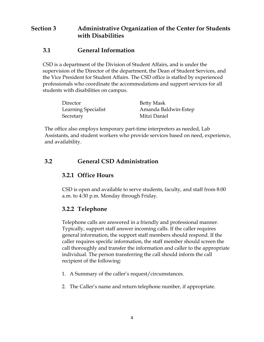## **Section 3 Administrative Organization of the Center for Students with Disabilities**

## **3.1 General Information**

CSD is a department of the Division of Student Affairs, and is under the supervision of the Director of the department, the Dean of Student Services, and the Vice President for Student Affairs. The CSD office is staffed by experienced professionals who coordinate the accommodations and support services for all students with disabilities on campus.

| Director                   | <b>Betty Mask</b>    |
|----------------------------|----------------------|
| <b>Learning Specialist</b> | Amanda Baldwin-Estep |
| Secretary                  | Mitzi Daniel         |

The office also employs temporary part-time interpreters as needed, Lab Assistants, and student workers who provide services based on need, experience, and availability.

## **3.2 General CSD Administration**

#### **3.2.1 Office Hours**

CSD is open and available to serve students, faculty, and staff from 8:00 a.m. to 4:30 p.m. Monday through Friday.

## **3.2.2 Telephone**

Telephone calls are answered in a friendly and professional manner. Typically, support staff answer incoming calls. If the caller requires general information, the support staff members should respond. If the caller requires specific information, the staff member should screen the call thoroughly and transfer the information and caller to the appropriate individual. The person transferring the call should inform the call recipient of the following:

- 1. A Summary of the caller's request/circumstances.
- 2. The Caller's name and return telephone number, if appropriate.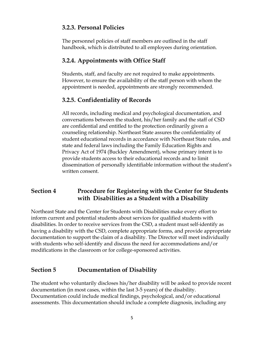## **3.2.3. Personal Policies**

The personnel policies of staff members are outlined in the staff handbook, which is distributed to all employees during orientation.

## **3.2.4. Appointments with Office Staff**

Students, staff, and faculty are not required to make appointments. However, to ensure the availability of the staff person with whom the appointment is needed, appointments are strongly recommended.

## **3.2.5. Confidentiality of Records**

All records, including medical and psychological documentation, and conversations between the student, his/her family and the staff of CSD are confidential and entitled to the protection ordinarily given a counseling relationship. Northeast State assures the confidentiality of student educational records in accordance with Northeast State rules, and state and federal laws including the Family Education Rights and Privacy Act of 1974 (Buckley Amendment), whose primary intent is to provide students access to their educational records and to limit dissemination of personally identifiable information without the student's written consent.

## **Section 4 Procedure for Registering with the Center for Students with Disabilities as a Student with a Disability**

Northeast State and the Center for Students with Disabilities make every effort to inform current and potential students about services for qualified students with disabilities. In order to receive services from the CSD, a student must self-identify as having a disability with the CSD, complete appropriate forms, and provide appropriate documentation to support the claim of a disability. The Director will meet individually with students who self-identify and discuss the need for accommodations and/or modifications in the classroom or for college-sponsored activities.

## **Section 5 Documentation of Disability**

The student who voluntarily discloses his/her disability will be asked to provide recent documentation (in most cases, within the last 3-5 years) of the disability. Documentation could include medical findings, psychological, and/or educational assessments. This documentation should include a complete diagnosis, including any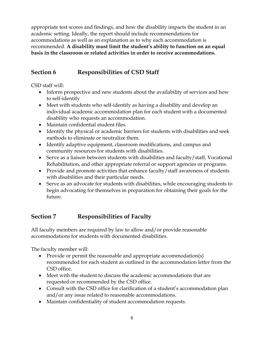appropriate test scores and findings, and how the disability impacts the student in an academic setting. Ideally, the report should include recommendations for accommodations as well as an explanation as to why each accommodation is recommended. **A disability must limit the student's ability to function on an equal basis in the classroom or related activities in order to receive accommodations.**

## **Section 6 Responsibilities of CSD Staff**

CSD staff will:

- Inform prospective and new students about the availability of services and how to self-identify
- Meet with students who self-identify as having a disability and develop an individual academic accommodation plan for each student with a documented disability who requests an accommodation.
- Maintain confidential student files.
- Identify the physical or academic barriers for students with disabilities and seek methods to eliminate or neutralize them.
- Identify adaptive equipment, classroom modifications, and campus and community resources for students with disabilities.
- Serve as a liaison between students with disabilities and faculty/staff, Vocational Rehabilitation, and other appropriate referral or support agencies or programs.
- Provide and promote activities that enhance faculty/staff awareness of students with disabilities and their particular needs.
- Serve as an advocate for students with disabilities, while encouraging students to begin advocating for themselves in preparation for obtaining their goals for the future.

## **Section 7 Responsibilities of Faculty**

All faculty members are required by law to allow and/or provide reasonable accommodations for students with documented disabilities.

The faculty member will:

- Provide or permit the reasonable and appropriate accommodation(s) recommended for each student as outlined in the accommodation letter from the CSD office.
- Meet with the student to discuss the academic accommodations that are requested or recommended by the CSD office.
- Consult with the CSD office for clarification of a student's accommodation plan and/or any issue related to reasonable accommodations.
- Maintain confidentiality of student accommodation requests.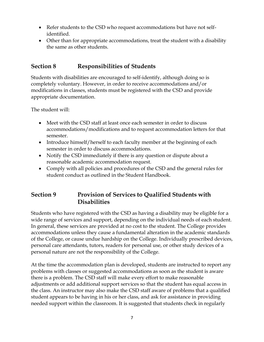- Refer students to the CSD who request accommodations but have not selfidentified.
- Other than for appropriate accommodations, treat the student with a disability the same as other students.

## **Section 8 Responsibilities of Students**

Students with disabilities are encouraged to self-identify, although doing so is completely voluntary. However, in order to receive accommodations and/or modifications in classes, students must be registered with the CSD and provide appropriate documentation.

The student will:

- Meet with the CSD staff at least once each semester in order to discuss accommodations/modifications and to request accommodation letters for that semester.
- Introduce himself/herself to each faculty member at the beginning of each semester in order to discuss accommodations.
- Notify the CSD immediately if there is any question or dispute about a reasonable academic accommodation request.
- Comply with all policies and procedures of the CSD and the general rules for student conduct as outlined in the Student Handbook.

## **Section 9 Provision of Services to Qualified Students with Disabilities**

Students who have registered with the CSD as having a disability may be eligible for a wide range of services and support, depending on the individual needs of each student. In general, these services are provided at no cost to the student. The College provides accommodations unless they cause a fundamental alteration in the academic standards of the College, or cause undue hardship on the College. Individually prescribed devices, personal care attendants, tutors, readers for personal use, or other study devices of a personal nature are not the responsibility of the College.

At the time the accommodation plan is developed, students are instructed to report any problems with classes or suggested accommodations as soon as the student is aware there is a problem. The CSD staff will make every effort to make reasonable adjustments or add additional support services so that the student has equal access in the class. An instructor may also make the CSD staff aware of problems that a qualified student appears to be having in his or her class, and ask for assistance in providing needed support within the classroom. It is suggested that students check in regularly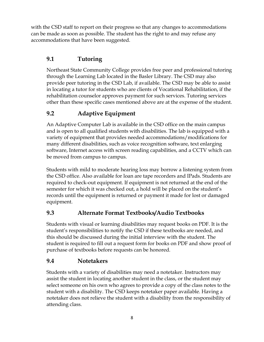with the CSD staff to report on their progress so that any changes to accommodations can be made as soon as possible. The student has the right to and may refuse any accommodations that have been suggested.

## **9.1 Tutoring**

Northeast State Community College provides free peer and professional tutoring through the Learning Lab located in the Basler Library. The CSD may also provide peer tutoring in the CSD Lab, if available. The CSD may be able to assist in locating a tutor for students who are clients of Vocational Rehabilitation, if the rehabilitation counselor approves payment for such services. Tutoring services other than these specific cases mentioned above are at the expense of the student.

## **9.2 Adaptive Equipment**

An Adaptive Computer Lab is available in the CSD office on the main campus and is open to all qualified students with disabilities. The lab is equipped with a variety of equipment that provides needed accommodations/modifications for many different disabilities, such as voice recognition software, text enlarging software, Internet access with screen reading capabilities, and a CCTV which can be moved from campus to campus.

Students with mild to moderate hearing loss may borrow a listening system from the CSD office. Also available for loan are tape recorders and IPads. Students are required to check-out equipment. If equipment is not returned at the end of the semester for which it was checked out, a hold will be placed on the student's records until the equipment is returned or payment it made for lost or damaged equipment.

## **9.3 Alternate Format Textbooks/Audio Textbooks**

Students with visual or learning disabilities may request books on PDF. It is the student's responsibilities to notify the CSD if these textbooks are needed, and this should be discussed during the initial interview with the student. The student is required to fill out a request form for books on PDF and show proof of purchase of textbooks before requests can be honored.

## **9.4 Notetakers**

Students with a variety of disabilities may need a notetaker. Instructors may assist the student in locating another student in the class, or the student may select someone on his own who agrees to provide a copy of the class notes to the student with a disability. The CSD keeps notetaker paper available. Having a notetaker does not relieve the student with a disability from the responsibility of attending class.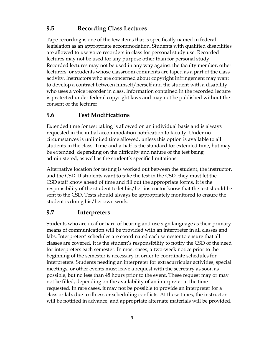## **9.5 Recording Class Lectures**

Tape recording is one of the few items that is specifically named in federal legislation as an appropriate accommodation. Students with qualified disabilities are allowed to use voice recorders in class for personal study use. Recorded lectures may not be used for any purpose other than for personal study. Recorded lectures may not be used in any way against the faculty member, other lecturers, or students whose classroom comments are taped as a part of the class activity. Instructors who are concerned about copyright infringement may want to develop a contract between himself/herself and the student with a disability who uses a voice recorder in class. Information contained in the recorded lecture is protected under federal copyright laws and may not be published without the consent of the lecturer.

### **9.6 Test Modifications**

Extended time for test taking is allowed on an individual basis and is always requested in the initial accommodation notification to faculty. Under no circumstances is unlimited time allowed, unless this option is available to all students in the class. Time-and-a-half is the standard for extended time, but may be extended, depending on the difficulty and nature of the test being administered, as well as the student's specific limitations.

Alternative location for testing is worked out between the student, the instructor, and the CSD. If students want to take the test in the CSD, they must let the CSD staff know ahead of time and fill out the appropriate forms. It is the responsibility of the student to let his/her instructor know that the test should be sent to the CSD. Tests should always be appropriately monitored to ensure the student is doing his/her own work.

## **9.7 Interpreters**

Students who are deaf or hard of hearing and use sign language as their primary means of communication will be provided with an interpreter in all classes and labs. Interpreters' schedules are coordinated each semester to ensure that all classes are covered. It is the student's responsibility to notify the CSD of the need for interpreters each semester. In most cases, a two-week notice prior to the beginning of the semester is necessary in order to coordinate schedules for interpreters. Students needing an interpreter for extracurricular activities, special meetings, or other events must leave a request with the secretary as soon as possible, but no less than 48 hours prior to the event. These request may or may not be filled, depending on the availability of an interpreter at the time requested. In rare cases, it may not be possible to provide an interpreter for a class or lab, due to illness or scheduling conflicts. At those times, the instructor will be notified in advance, and appropriate alternate materials will be provided.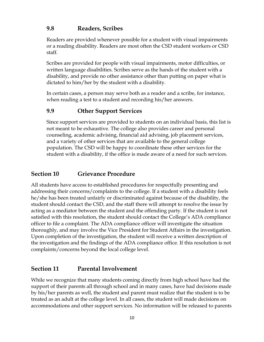## **9.8 Readers, Scribes**

Readers are provided whenever possible for a student with visual impairments or a reading disability. Readers are most often the CSD student workers or CSD staff.

Scribes are provided for people with visual impairments, motor difficulties, or written language disabilities. Scribes serve as the hands of the student with a disability, and provide no other assistance other than putting on paper what is dictated to him/her by the student with a disability.

In certain cases, a person may serve both as a reader and a scribe, for instance, when reading a test to a student and recording his/her answers.

## **9.9 Other Support Services**

Since support services are provided to students on an individual basis, this list is not meant to be exhaustive. The college also provides career and personal counseling, academic advising, financial aid advising, job placement services, and a variety of other services that are available to the general college population. The CSD will be happy to coordinate these other services for the student with a disability, if the office is made aware of a need for such services.

## **Section 10 Grievance Procedure**

All students have access to established procedures for respectfully presenting and addressing their concerns/complaints to the college. If a student with a disability feels he/she has been treated unfairly or discriminated against because of the disability, the student should contact the CSD, and the staff there will attempt to resolve the issue by acting as a mediator between the student and the offending party. If the student is not satisfied with this resolution, the student should contact the College's ADA compliance officer to file a complaint. The ADA compliance officer will investigate the situation thoroughly, and may involve the Vice President for Student Affairs in the investigation. Upon completion of the investigation, the student will receive a written description of the investigation and the findings of the ADA compliance office. If this resolution is not complaints/concerns beyond the local college level.

#### **Section 11 Parental Involvement**

While we recognize that many students coming directly from high school have had the support of their parents all through school and in many cases, have had decisions made by his/her parents as well, the student and parent must realize that the student is to be treated as an adult at the college level. In all cases, the student will made decisions on accommodations and other support services. No information will be released to parents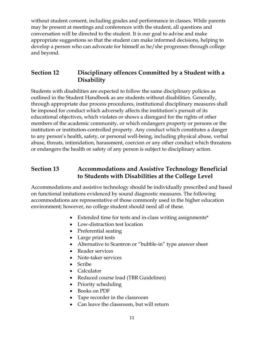without student consent, including grades and performance in classes. While parents may be present at meetings and conferences with the student, all questions and conversation will be directed to the student. It is our goal to advise and make appropriate suggestions so that the student can make informed decisions, helping to develop a person who can advocate for himself as he/she progresses through college and beyond.

## **Section 12 Disciplinary offences Committed by a Student with a Disability**

Students with disabilities are expected to follow the same disciplinary policies as outlined in the Student Handbook as are students without disabilities. Generally, through appropriate due process procedures, institutional disciplinary measures shall be imposed for conduct which adversely affects the institution's pursuit of its educational objectives, which violates or shows a disregard for the rights of other members of the academic community, or which endangers property or persons or the institution or institution-controlled property. Any conduct which constitutes a danger to any person's health, safety, or personal well-being, including physical abuse, verbal abuse, threats, intimidation, harassment, coercion or any other conduct which threatens or endangers the health or safety of any person is subject to disciplinary action.

## **Section 13 Accommodations and Assistive Technology Beneficial to Students with Disabilities at the College Level**

Accommodations and assistive technology should be individually prescribed and based on functional imitations evidenced by sound diagnostic measures. The following accommodations are representative of those commonly used in the higher education environment; however, no college student should need all of these.

- Extended time for tests and in-class writing assignments\*
- Low-distraction test location
- Preferential seating
- Large print tests
- Alternative to Scantron or "bubble-in" type answer sheet
- Reader services
- Note-taker services
- Scribe
- Calculator
- Reduced course load (TBR Guidelines)
- Priority scheduling
- Books on PDF
- Tape recorder in the classroom
- Can leave the classroom, but will return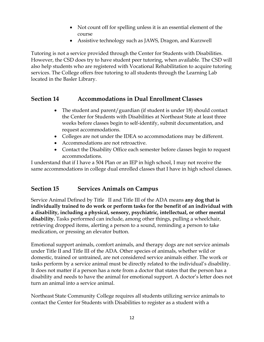- Not count off for spelling unless it is an essential element of the course
- Assistive technology such as JAWS, Dragon, and Kurzwell

Tutoring is not a service provided through the Center for Students with Disabilities. However, the CSD does try to have student peer tutoring, when available. The CSD will also help students who are registered with Vocational Rehabilitation to acquire tutoring services. The College offers free tutoring to all students through the Learning Lab located in the Basler Library.

## **Section 14 Accommodations in Dual Enrollment Classes**

- The student and parent/guardian (if student is under 18) should contact the Center for Students with Disabilities at Northeast State at least three weeks before classes begin to self-identify, submit documentation, and request accommodations.
- Colleges are not under the IDEA so accommodations may be different.
- Accommodations are not retroactive.
- Contact the Disability Office each semester before classes begin to request accommodations.

I understand that if I have a 504 Plan or an IEP in high school, I may not receive the same accommodations in college dual enrolled classes that I have in high school classes.

## **Section 15 Services Animals on Campus**

Service Animal Defined by Title II and Title III of the ADA means **any dog that is individually trained to do work or perform tasks for the benefit of an individual with a disability, including a physical, sensory, psychiatric, intellectual, or other mental disability.** Tasks performed can include, among other things, pulling a wheelchair, retrieving dropped items, alerting a person to a sound, reminding a person to take medication, or pressing an elevator button.

Emotional support animals, comfort animals, and therapy dogs are not service animals under Title II and Title III of the ADA. Other species of animals, whether wild or domestic, trained or untrained, are not considered service animals either. The work or tasks perform by a service animal must be directly related to the individual's disability. It does not matter if a person has a note from a doctor that states that the person has a disability and needs to have the animal for emotional support. A doctor's letter does not turn an animal into a service animal.

Northeast State Community College requires all students utilizing service animals to contact the Center for Students with Disabilities to register as a student with a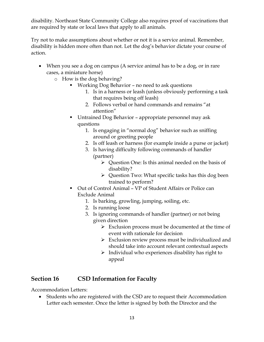disability. Northeast State Community College also requires proof of vaccinations that are required by state or local laws that apply to all animals.

Try not to make assumptions about whether or not it is a service animal. Remember, disability is hidden more often than not. Let the dog's behavior dictate your course of action.

- When you see a dog on campus (A service animal has to be a dog, or in rare cases, a miniature horse)
	- o How is the dog behaving?
		- Working Dog Behavior no need to ask questions
			- 1. Is in a harness or leash (unless obviously performing a task that requires being off leash)
			- 2. Follows verbal or hand commands and remains "at attention"
		- Untrained Dog Behavior appropriate personnel may ask questions
			- 1. Is engaging in "normal dog" behavior such as sniffing around or greeting people
			- 2. Is off leash or harness (for example inside a purse or jacket)
			- 3. Is having difficulty following commands of handler (partner)
				- $\triangleright$  Ouestion One: Is this animal needed on the basis of disability?
				- Question Two: What specific tasks has this dog been trained to perform?
		- Out of Control Animal VP of Student Affairs or Police can Exclude Animal
			- 1. Is barking, growling, jumping, soiling, etc.
			- 2. Is running loose
			- 3. Is ignoring commands of handler (partner) or not being given direction
				- $\triangleright$  Exclusion process must be documented at the time of event with rationale for decision
				- $\triangleright$  Exclusion review process must be individualized and should take into account relevant contextual aspects
				- $\triangleright$  Individual who experiences disability has right to appeal

## **Section 16 CSD Information for Faculty**

Accommodation Letters:

 Students who are registered with the CSD are to request their Accommodation Letter each semester. Once the letter is signed by both the Director and the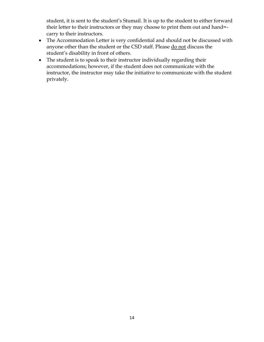student, it is sent to the student's Stumail. It is up to the student to either forward their letter to their instructors or they may choose to print them out and hand= carry to their instructors.

- The Accommodation Letter is very confidential and should not be discussed with anyone other than the student or the CSD staff. Please do not discuss the student's disability in front of others.
- The student is to speak to their instructor individually regarding their accommodations; however, if the student does not communicate with the instructor, the instructor may take the initiative to communicate with the student privately.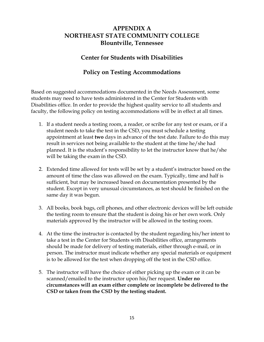## **APPENDIX A NORTHEAST STATE COMMUNITY COLLEGE Blountville, Tennessee**

#### **Center for Students with Disabilities**

### **Policy on Testing Accommodations**

Based on suggested accommodations documented in the Needs Assessment, some students may need to have tests administered in the Center for Students with Disabilities office. In order to provide the highest quality service to all students and faculty, the following policy on testing accommodations will be in effect at all times.

- 1. If a student needs a testing room, a reader, or scribe for any test or exam, or if a student needs to take the test in the CSD, you must schedule a testing appointment at least **two** days in advance of the test date. Failure to do this may result in services not being available to the student at the time he/she had planned. It is the student's responsibility to let the instructor know that he/she will be taking the exam in the CSD.
- 2. Extended time allowed for tests will be set by a student's instructor based on the amount of time the class was allowed on the exam. Typically, time and half is sufficient, but may be increased based on documentation presented by the student. Except in very unusual circumstances, as test should be finished on the same day it was begun.
- 3. All books, book bags, cell phones, and other electronic devices will be left outside the testing room to ensure that the student is doing his or her own work. Only materials approved by the instructor will be allowed in the testing room.
- 4. At the time the instructor is contacted by the student regarding his/her intent to take a test in the Center for Students with Disabilities office, arrangements should be made for delivery of testing materials, either through e-mail, or in person. The instructor must indicate whether any special materials or equipment is to be allowed for the test when dropping off the test in the CSD office.
- 5. The instructor will have the choice of either picking up the exam or it can be scanned/emailed to the instructor upon his/her request. **Under no circumstances will an exam either complete or incomplete be delivered to the CSD or taken from the CSD by the testing student.**